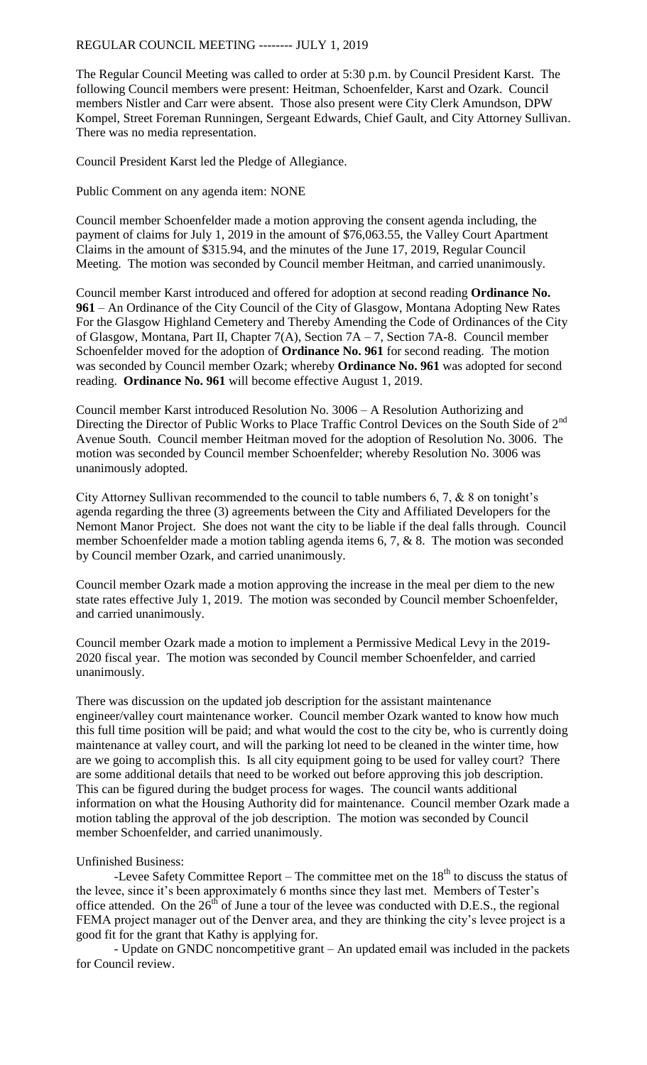## REGULAR COUNCIL MEETING -------- JULY 1, 2019

The Regular Council Meeting was called to order at 5:30 p.m. by Council President Karst. The following Council members were present: Heitman, Schoenfelder, Karst and Ozark. Council members Nistler and Carr were absent. Those also present were City Clerk Amundson, DPW Kompel, Street Foreman Runningen, Sergeant Edwards, Chief Gault, and City Attorney Sullivan. There was no media representation.

Council President Karst led the Pledge of Allegiance.

Public Comment on any agenda item: NONE

Council member Schoenfelder made a motion approving the consent agenda including, the payment of claims for July 1, 2019 in the amount of \$76,063.55, the Valley Court Apartment Claims in the amount of \$315.94, and the minutes of the June 17, 2019, Regular Council Meeting. The motion was seconded by Council member Heitman, and carried unanimously.

Council member Karst introduced and offered for adoption at second reading **Ordinance No. 961** – An Ordinance of the City Council of the City of Glasgow, Montana Adopting New Rates For the Glasgow Highland Cemetery and Thereby Amending the Code of Ordinances of the City of Glasgow, Montana, Part II, Chapter 7(A), Section 7A – 7, Section 7A-8. Council member Schoenfelder moved for the adoption of **Ordinance No. 961** for second reading. The motion was seconded by Council member Ozark; whereby **Ordinance No. 961** was adopted for second reading. **Ordinance No. 961** will become effective August 1, 2019.

Council member Karst introduced Resolution No. 3006 – A Resolution Authorizing and Directing the Director of Public Works to Place Traffic Control Devices on the South Side of 2<sup>nd</sup> Avenue South. Council member Heitman moved for the adoption of Resolution No. 3006. The motion was seconded by Council member Schoenfelder; whereby Resolution No. 3006 was unanimously adopted.

City Attorney Sullivan recommended to the council to table numbers 6, 7, & 8 on tonight's agenda regarding the three (3) agreements between the City and Affiliated Developers for the Nemont Manor Project. She does not want the city to be liable if the deal falls through. Council member Schoenfelder made a motion tabling agenda items 6, 7, & 8. The motion was seconded by Council member Ozark, and carried unanimously.

Council member Ozark made a motion approving the increase in the meal per diem to the new state rates effective July 1, 2019. The motion was seconded by Council member Schoenfelder, and carried unanimously.

Council member Ozark made a motion to implement a Permissive Medical Levy in the 2019- 2020 fiscal year. The motion was seconded by Council member Schoenfelder, and carried unanimously.

There was discussion on the updated job description for the assistant maintenance engineer/valley court maintenance worker. Council member Ozark wanted to know how much this full time position will be paid; and what would the cost to the city be, who is currently doing maintenance at valley court, and will the parking lot need to be cleaned in the winter time, how are we going to accomplish this. Is all city equipment going to be used for valley court? There are some additional details that need to be worked out before approving this job description. This can be figured during the budget process for wages. The council wants additional information on what the Housing Authority did for maintenance. Council member Ozark made a motion tabling the approval of the job description. The motion was seconded by Council member Schoenfelder, and carried unanimously.

## Unfinished Business:

-Levee Safety Committee Report – The committee met on the  $18<sup>th</sup>$  to discuss the status of the levee, since it's been approximately 6 months since they last met. Members of Tester's office attended. On the  $26<sup>th</sup>$  of June a tour of the levee was conducted with D.E.S., the regional FEMA project manager out of the Denver area, and they are thinking the city's levee project is a good fit for the grant that Kathy is applying for.

- Update on GNDC noncompetitive grant – An updated email was included in the packets for Council review.